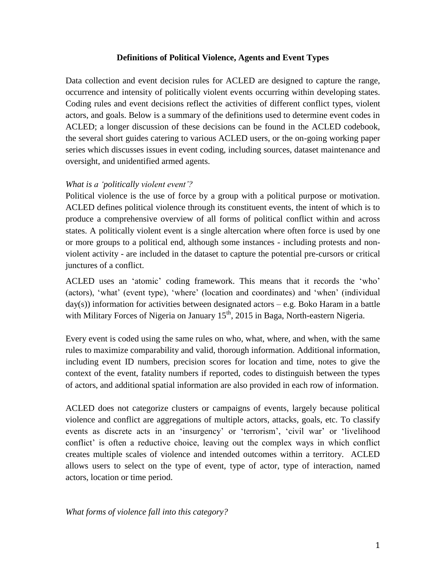### **Definitions of Political Violence, Agents and Event Types**

Data collection and event decision rules for ACLED are designed to capture the range, occurrence and intensity of politically violent events occurring within developing states. Coding rules and event decisions reflect the activities of different conflict types, violent actors, and goals. Below is a summary of the definitions used to determine event codes in ACLED; a longer discussion of these decisions can be found in the ACLED codebook, the several short guides catering to various ACLED users, or the on-going working paper series which discusses issues in event coding, including sources, dataset maintenance and oversight, and unidentified armed agents.

## *What is a 'politically violent event'?*

Political violence is the use of force by a group with a political purpose or motivation. ACLED defines political violence through its constituent events, the intent of which is to produce a comprehensive overview of all forms of political conflict within and across states. A politically violent event is a single altercation where often force is used by one or more groups to a political end, although some instances - including protests and nonviolent activity - are included in the dataset to capture the potential pre-cursors or critical junctures of a conflict.

ACLED uses an 'atomic' coding framework. This means that it records the 'who' (actors), 'what' (event type), 'where' (location and coordinates) and 'when' (individual  $day(s)$ ) information for activities between designated actors – e.g. Boko Haram in a battle with Military Forces of Nigeria on January  $15<sup>th</sup>$ , 2015 in Baga, North-eastern Nigeria.

Every event is coded using the same rules on who, what, where, and when, with the same rules to maximize comparability and valid, thorough information. Additional information, including event ID numbers, precision scores for location and time, notes to give the context of the event, fatality numbers if reported, codes to distinguish between the types of actors, and additional spatial information are also provided in each row of information.

ACLED does not categorize clusters or campaigns of events, largely because political violence and conflict are aggregations of multiple actors, attacks, goals, etc. To classify events as discrete acts in an 'insurgency' or 'terrorism', 'civil war' or 'livelihood conflict' is often a reductive choice, leaving out the complex ways in which conflict creates multiple scales of violence and intended outcomes within a territory. ACLED allows users to select on the type of event, type of actor, type of interaction, named actors, location or time period.

*What forms of violence fall into this category?*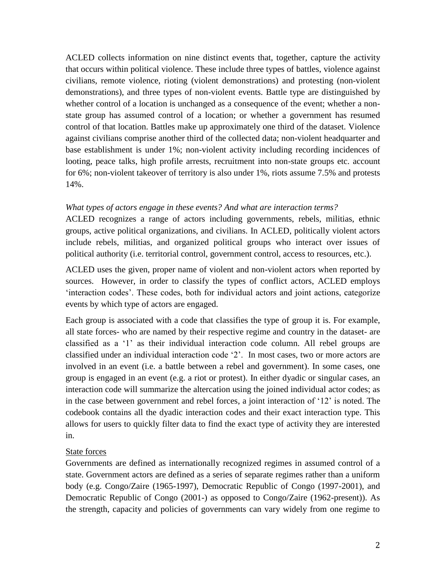ACLED collects information on nine distinct events that, together, capture the activity that occurs within political violence. These include three types of battles, violence against civilians, remote violence, rioting (violent demonstrations) and protesting (non-violent demonstrations), and three types of non-violent events. Battle type are distinguished by whether control of a location is unchanged as a consequence of the event; whether a nonstate group has assumed control of a location; or whether a government has resumed control of that location. Battles make up approximately one third of the dataset. Violence against civilians comprise another third of the collected data; non-violent headquarter and base establishment is under 1%; non-violent activity including recording incidences of looting, peace talks, high profile arrests, recruitment into non-state groups etc. account for 6%; non-violent takeover of territory is also under 1%, riots assume 7.5% and protests 14%.

## *What types of actors engage in these events? And what are interaction terms?*

ACLED recognizes a range of actors including governments, rebels, militias, ethnic groups, active political organizations, and civilians. In ACLED, politically violent actors include rebels, militias, and organized political groups who interact over issues of political authority (i.e. territorial control, government control, access to resources, etc.).

ACLED uses the given, proper name of violent and non-violent actors when reported by sources. However, in order to classify the types of conflict actors, ACLED employs 'interaction codes'. These codes, both for individual actors and joint actions, categorize events by which type of actors are engaged.

Each group is associated with a code that classifies the type of group it is. For example, all state forces- who are named by their respective regime and country in the dataset- are classified as a '1' as their individual interaction code column. All rebel groups are classified under an individual interaction code '2'. In most cases, two or more actors are involved in an event (i.e. a battle between a rebel and government). In some cases, one group is engaged in an event (e.g. a riot or protest). In either dyadic or singular cases, an interaction code will summarize the altercation using the joined individual actor codes; as in the case between government and rebel forces, a joint interaction of '12' is noted. The codebook contains all the dyadic interaction codes and their exact interaction type. This allows for users to quickly filter data to find the exact type of activity they are interested in.

# State forces

Governments are defined as internationally recognized regimes in assumed control of a state. Government actors are defined as a series of separate regimes rather than a uniform body (e.g. Congo/Zaire (1965-1997), Democratic Republic of Congo (1997-2001), and Democratic Republic of Congo (2001-) as opposed to Congo/Zaire (1962-present)). As the strength, capacity and policies of governments can vary widely from one regime to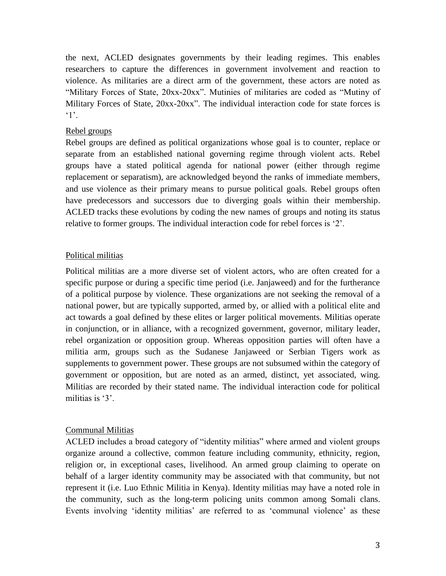the next, ACLED designates governments by their leading regimes. This enables researchers to capture the differences in government involvement and reaction to violence. As militaries are a direct arm of the government, these actors are noted as "Military Forces of State, 20xx-20xx". Mutinies of militaries are coded as "Mutiny of Military Forces of State, 20xx-20xx". The individual interaction code for state forces is  $\cdot$ 1'.

# Rebel groups

Rebel groups are defined as political organizations whose goal is to counter, replace or separate from an established national governing regime through violent acts. Rebel groups have a stated political agenda for national power (either through regime replacement or separatism), are acknowledged beyond the ranks of immediate members, and use violence as their primary means to pursue political goals. Rebel groups often have predecessors and successors due to diverging goals within their membership. ACLED tracks these evolutions by coding the new names of groups and noting its status relative to former groups. The individual interaction code for rebel forces is '2'.

## Political militias

Political militias are a more diverse set of violent actors, who are often created for a specific purpose or during a specific time period (i.e. Janjaweed) and for the furtherance of a political purpose by violence. These organizations are not seeking the removal of a national power, but are typically supported, armed by, or allied with a political elite and act towards a goal defined by these elites or larger political movements. Militias operate in conjunction, or in alliance, with a recognized government, governor, military leader, rebel organization or opposition group. Whereas opposition parties will often have a militia arm, groups such as the Sudanese Janjaweed or Serbian Tigers work as supplements to government power. These groups are not subsumed within the category of government or opposition, but are noted as an armed, distinct, yet associated, wing. Militias are recorded by their stated name. The individual interaction code for political militias is '3'.

# Communal Militias

ACLED includes a broad category of "identity militias" where armed and violent groups organize around a collective, common feature including community, ethnicity, region, religion or, in exceptional cases, livelihood. An armed group claiming to operate on behalf of a larger identity community may be associated with that community, but not represent it (i.e. Luo Ethnic Militia in Kenya). Identity militias may have a noted role in the community, such as the long-term policing units common among Somali clans. Events involving 'identity militias' are referred to as 'communal violence' as these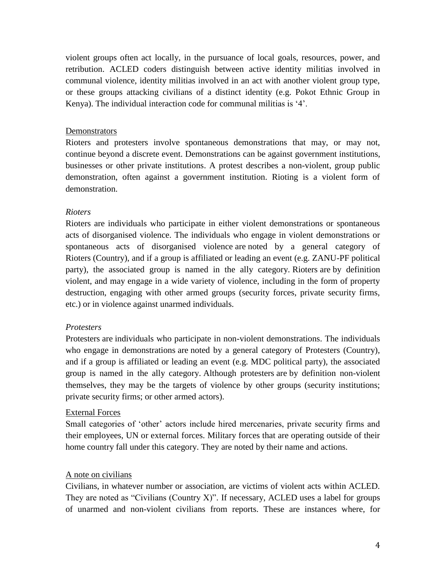violent groups often act locally, in the pursuance of local goals, resources, power, and retribution. ACLED coders distinguish between active identity militias involved in communal violence, identity militias involved in an act with another violent group type, or these groups attacking civilians of a distinct identity (e.g. Pokot Ethnic Group in Kenya). The individual interaction code for communal militias is '4'.

### **Demonstrators**

Rioters and protesters involve spontaneous demonstrations that may, or may not, continue beyond a discrete event. Demonstrations can be against government institutions, businesses or other private institutions. A protest describes a non-violent, group public demonstration, often against a government institution. Rioting is a violent form of demonstration.

## *Rioters*

Rioters are individuals who participate in either violent demonstrations or spontaneous acts of disorganised violence. The individuals who engage in violent demonstrations or spontaneous acts of disorganised violence are noted by a general category of Rioters (Country), and if a group is affiliated or leading an event (e.g. ZANU-PF political party), the associated group is named in the ally category. Rioters are by definition violent, and may engage in a wide variety of violence, including in the form of property destruction, engaging with other armed groups (security forces, private security firms, etc.) or in violence against unarmed individuals.

### *Protesters*

Protesters are individuals who participate in non-violent demonstrations. The individuals who engage in demonstrations are noted by a general category of Protesters (Country), and if a group is affiliated or leading an event (e.g. MDC political party), the associated group is named in the ally category. Although protesters are by definition non-violent themselves, they may be the targets of violence by other groups (security institutions; private security firms; or other armed actors).

# External Forces

Small categories of 'other' actors include hired mercenaries, private security firms and their employees, UN or external forces. Military forces that are operating outside of their home country fall under this category. They are noted by their name and actions.

# A note on civilians

Civilians, in whatever number or association, are victims of violent acts within ACLED. They are noted as "Civilians (Country X)". If necessary, ACLED uses a label for groups of unarmed and non-violent civilians from reports. These are instances where, for